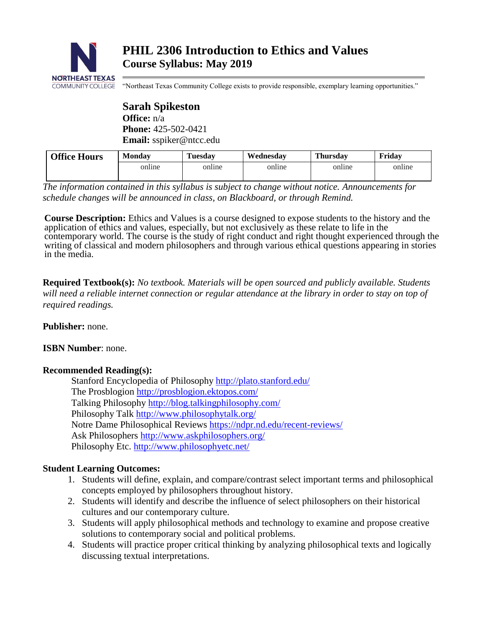

"Northeast Texas Community College exists to provide responsible, exemplary learning opportunities."

**Sarah Spikeston Office:** n/a **Phone:** 425-502-0421 **Email:** sspiker@ntcc.edu

| <b>Office Hours</b> | <b>Monday</b> | <b>Tuesday</b> | Wednesdav | <b>Thursday</b> | Fridav |
|---------------------|---------------|----------------|-----------|-----------------|--------|
|                     | online        | online         | online    | online          | online |

*The information contained in this syllabus is subject to change without notice. Announcements for schedule changes will be announced in class, on Blackboard, or through Remind.*

**Course Description:** Ethics and Values is a course designed to expose students to the history and the application of ethics and values, especially, but not exclusively as these relate to life in the contemporary world. The course is the study of right conduct and right thought experienced through the writing of classical and modern philosophers and through various ethical questions appearing in stories in the media.

**Required Textbook(s):** *No textbook. Materials will be open sourced and publicly available. Students will need a reliable internet connection or regular attendance at the library in order to stay on top of required readings.* 

**Publisher:** none.

# **ISBN Number**: none.

# **Recommended Reading(s):**

Stanford Encyclopedia of Philosophy<http://plato.stanford.edu/> The Prosblogion<http://prosblogion.ektopos.com/> Talking Philosophy<http://blog.talkingphilosophy.com/> Philosophy Talk<http://www.philosophytalk.org/> Notre Dame Philosophical Reviews <https://ndpr.nd.edu/recent-reviews/> Ask Philosophers<http://www.askphilosophers.org/> Philosophy Etc.<http://www.philosophyetc.net/>

# **Student Learning Outcomes:**

- 1. Students will define, explain, and compare/contrast select important terms and philosophical concepts employed by philosophers throughout history.
- 2. Students will identify and describe the influence of select philosophers on their historical cultures and our contemporary culture.
- 3. Students will apply philosophical methods and technology to examine and propose creative solutions to contemporary social and political problems.
- 4. Students will practice proper critical thinking by analyzing philosophical texts and logically discussing textual interpretations.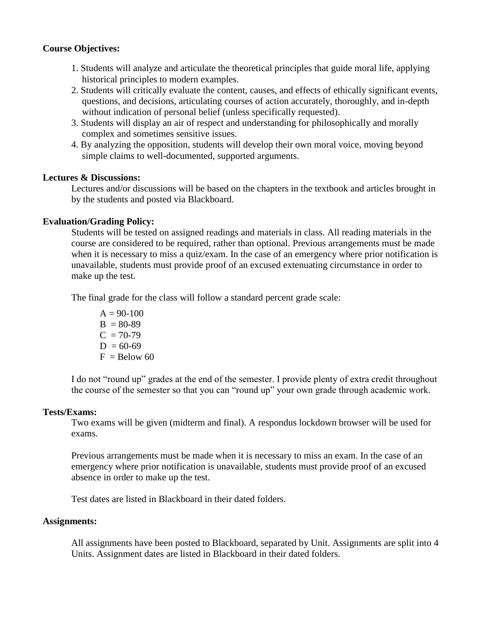## **Course Objectives:**

- 1. Students will analyze and articulate the theoretical principles that guide moral life, applying historical principles to modern examples.
- 2. Students will critically evaluate the content, causes, and effects of ethically significant events, questions, and decisions, articulating courses of action accurately, thoroughly, and in-depth without indication of personal belief (unless specifically requested).
- 3. Students will display an air of respect and understanding for philosophically and morally complex and sometimes sensitive issues.
- 4. By analyzing the opposition, students will develop their own moral voice, moving beyond simple claims to well-documented, supported arguments.

## **Lectures & Discussions:**

Lectures and/or discussions will be based on the chapters in the textbook and articles brought in by the students and posted via Blackboard.

## **Evaluation/Grading Policy:**

Students will be tested on assigned readings and materials in class. All reading materials in the course are considered to be required, rather than optional. Previous arrangements must be made when it is necessary to miss a quiz/exam. In the case of an emergency where prior notification is unavailable, students must provide proof of an excused extenuating circumstance in order to make up the test.

The final grade for the class will follow a standard percent grade scale:

 $A = 90-100$  $B = 80-89$  $C = 70-79$  $D = 60-69$  $F =$ Below 60

I do not "round up" grades at the end of the semester. I provide plenty of extra credit throughout the course of the semester so that you can "round up" your own grade through academic work.

## **Tests/Exams:**

Two exams will be given (midterm and final). A respondus lockdown browser will be used for exams.

Previous arrangements must be made when it is necessary to miss an exam. In the case of an emergency where prior notification is unavailable, students must provide proof of an excused absence in order to make up the test.

Test dates are listed in Blackboard in their dated folders.

## **Assignments:**

All assignments have been posted to Blackboard, separated by Unit. Assignments are split into 4 Units. Assignment dates are listed in Blackboard in their dated folders.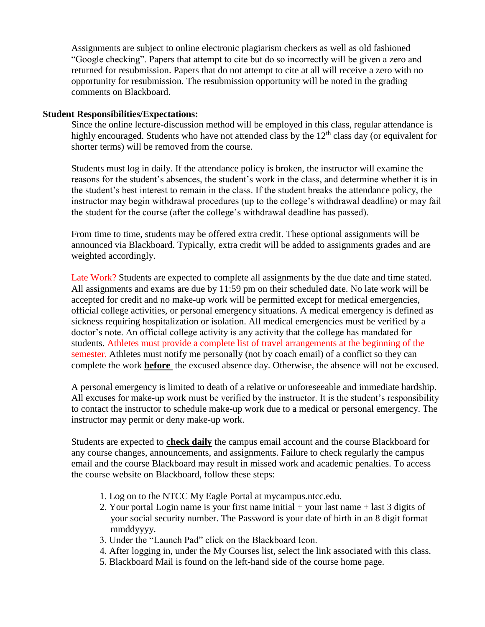Assignments are subject to online electronic plagiarism checkers as well as old fashioned "Google checking". Papers that attempt to cite but do so incorrectly will be given a zero and returned for resubmission. Papers that do not attempt to cite at all will receive a zero with no opportunity for resubmission. The resubmission opportunity will be noted in the grading comments on Blackboard.

#### **Student Responsibilities/Expectations:**

Since the online lecture-discussion method will be employed in this class, regular attendance is highly encouraged. Students who have not attended class by the  $12<sup>th</sup>$  class day (or equivalent for shorter terms) will be removed from the course.

Students must log in daily. If the attendance policy is broken, the instructor will examine the reasons for the student's absences, the student's work in the class, and determine whether it is in the student's best interest to remain in the class. If the student breaks the attendance policy, the instructor may begin withdrawal procedures (up to the college's withdrawal deadline) or may fail the student for the course (after the college's withdrawal deadline has passed).

From time to time, students may be offered extra credit. These optional assignments will be announced via Blackboard. Typically, extra credit will be added to assignments grades and are weighted accordingly.

Late Work? Students are expected to complete all assignments by the due date and time stated. All assignments and exams are due by 11:59 pm on their scheduled date. No late work will be accepted for credit and no make-up work will be permitted except for medical emergencies, official college activities, or personal emergency situations. A medical emergency is defined as sickness requiring hospitalization or isolation. All medical emergencies must be verified by a doctor's note. An official college activity is any activity that the college has mandated for students. Athletes must provide a complete list of travel arrangements at the beginning of the semester. Athletes must notify me personally (not by coach email) of a conflict so they can complete the work **before** the excused absence day. Otherwise, the absence will not be excused.

A personal emergency is limited to death of a relative or unforeseeable and immediate hardship. All excuses for make-up work must be verified by the instructor. It is the student's responsibility to contact the instructor to schedule make-up work due to a medical or personal emergency. The instructor may permit or deny make-up work.

Students are expected to **check daily** the campus email account and the course Blackboard for any course changes, announcements, and assignments. Failure to check regularly the campus email and the course Blackboard may result in missed work and academic penalties. To access the course website on Blackboard, follow these steps:

- 1. Log on to the NTCC My Eagle Portal at mycampus.ntcc.edu.
- 2. Your portal Login name is your first name initial + your last name + last 3 digits of your social security number. The Password is your date of birth in an 8 digit format mmddyyyy.
- 3. Under the "Launch Pad" click on the Blackboard Icon.
- 4. After logging in, under the My Courses list, select the link associated with this class.
- 5. Blackboard Mail is found on the left-hand side of the course home page.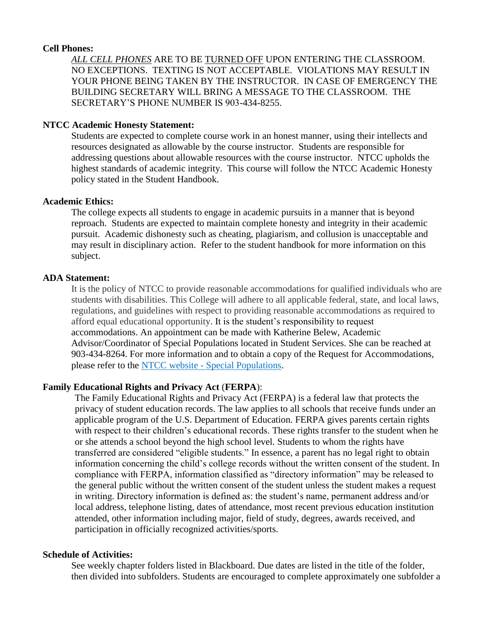#### **Cell Phones:**

*ALL CELL PHONES* ARE TO BE TURNED OFF UPON ENTERING THE CLASSROOM. NO EXCEPTIONS. TEXTING IS NOT ACCEPTABLE. VIOLATIONS MAY RESULT IN YOUR PHONE BEING TAKEN BY THE INSTRUCTOR. IN CASE OF EMERGENCY THE BUILDING SECRETARY WILL BRING A MESSAGE TO THE CLASSROOM. THE SECRETARY'S PHONE NUMBER IS 903-434-8255.

### **NTCC Academic Honesty Statement:**

Students are expected to complete course work in an honest manner, using their intellects and resources designated as allowable by the course instructor. Students are responsible for addressing questions about allowable resources with the course instructor. NTCC upholds the highest standards of academic integrity. This course will follow the NTCC Academic Honesty policy stated in the Student Handbook.

### **Academic Ethics:**

The college expects all students to engage in academic pursuits in a manner that is beyond reproach. Students are expected to maintain complete honesty and integrity in their academic pursuit. Academic dishonesty such as cheating, plagiarism, and collusion is unacceptable and may result in disciplinary action. Refer to the student handbook for more information on this subject.

### **ADA Statement:**

It is the policy of NTCC to provide reasonable accommodations for qualified individuals who are students with disabilities. This College will adhere to all applicable federal, state, and local laws, regulations, and guidelines with respect to providing reasonable accommodations as required to afford equal educational opportunity. It is the student's responsibility to request accommodations. An appointment can be made with Katherine Belew, Academic Advisor/Coordinator of Special Populations located in Student Services. She can be reached at 903-434-8264. For more information and to obtain a copy of the Request for Accommodations, please refer to the NTCC website - [Special Populations.](http://www.ntcc.edu/index.php?module=Pagesetter&func=viewpub&tid=111&pid=1)

## **Family Educational Rights and Privacy Act** (**FERPA**):

The Family Educational Rights and Privacy Act (FERPA) is a federal law that protects the privacy of student education records. The law applies to all schools that receive funds under an applicable program of the U.S. Department of Education. FERPA gives parents certain rights with respect to their children's educational records. These rights transfer to the student when he or she attends a school beyond the high school level. Students to whom the rights have transferred are considered "eligible students." In essence, a parent has no legal right to obtain information concerning the child's college records without the written consent of the student. In compliance with FERPA, information classified as "directory information" may be released to the general public without the written consent of the student unless the student makes a request in writing. Directory information is defined as: the student's name, permanent address and/or local address, telephone listing, dates of attendance, most recent previous education institution attended, other information including major, field of study, degrees, awards received, and participation in officially recognized activities/sports.

## **Schedule of Activities:**

See weekly chapter folders listed in Blackboard. Due dates are listed in the title of the folder, then divided into subfolders. Students are encouraged to complete approximately one subfolder a